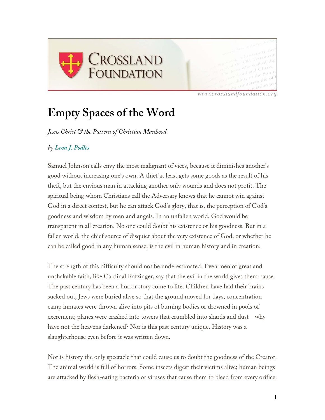

*www.crosslandfoundation.org*

## **Empty Spaces of the Word**

*Jesus Christ & the Pattern of Christian Manhood*

## *by Leon J. Podles*

Samuel Johnson calls envy the most malignant of vices, because it diminishes another's good without increasing one's own. A thief at least gets some goods as the result of his theft, but the envious man in attacking another only wounds and does not profit. The spiritual being whom Christians call the Adversary knows that he cannot win against God in a direct contest, but he can attack God's glory, that is, the perception of God's goodness and wisdom by men and angels. In an unfallen world, God would be transparent in all creation. No one could doubt his existence or his goodness. But in a fallen world, the chief source of disquiet about the very existence of God, or whether he can be called good in any human sense, is the evil in human history and in creation.

The strength of this difficulty should not be underestimated. Even men of great and unshakable faith, like Cardinal Ratzinger, say that the evil in the world gives them pause. The past century has been a horror story come to life. Children have had their brains sucked out; Jews were buried alive so that the ground moved for days; concentration camp inmates were thrown alive into pits of burning bodies or drowned in pools of excrement; planes were crashed into towers that crumbled into shards and dust—why have not the heavens darkened? Nor is this past century unique. History was a slaughterhouse even before it was written down.

Nor is history the only spectacle that could cause us to doubt the goodness of the Creator. The animal world is full of horrors. Some insects digest their victims alive; human beings are attacked by flesh-eating bacteria or viruses that cause them to bleed from every orifice.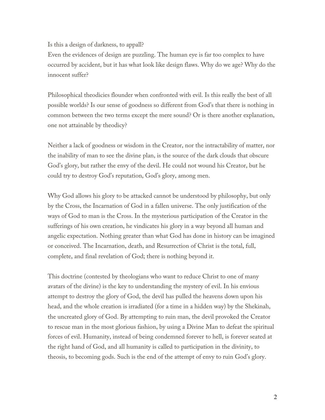Is this a design of darkness, to appall?

Even the evidences of design are puzzling. The human eye is far too complex to have occurred by accident, but it has what look like design flaws. Why do we age? Why do the innocent suffer?

Philosophical theodicies flounder when confronted with evil. Is this really the best of all possible worlds? Is our sense of goodness so different from God's that there is nothing in common between the two terms except the mere sound? Or is there another explanation, one not attainable by theodicy?

Neither a lack of goodness or wisdom in the Creator, nor the intractability of matter, nor the inability of man to see the divine plan, is the source of the dark clouds that obscure God's glory, but rather the envy of the devil. He could not wound his Creator, but he could try to destroy God's reputation, God's glory, among men.

Why God allows his glory to be attacked cannot be understood by philosophy, but only by the Cross, the Incarnation of God in a fallen universe. The only justification of the ways of God to man is the Cross. In the mysterious participation of the Creator in the sufferings of his own creation, he vindicates his glory in a way beyond all human and angelic expectation. Nothing greater than what God has done in history can be imagined or conceived. The Incarnation, death, and Resurrection of Christ is the total, full, complete, and final revelation of God; there is nothing beyond it.

This doctrine (contested by theologians who want to reduce Christ to one of many avatars of the divine) is the key to understanding the mystery of evil. In his envious attempt to destroy the glory of God, the devil has pulled the heavens down upon his head, and the whole creation is irradiated (for a time in a hidden way) by the Shekinah, the uncreated glory of God. By attempting to ruin man, the devil provoked the Creator to rescue man in the most glorious fashion, by using a Divine Man to defeat the spiritual forces of evil. Humanity, instead of being condemned forever to hell, is forever seated at the right hand of God, and all humanity is called to participation in the divinity, to theosis, to becoming gods. Such is the end of the attempt of envy to ruin God's glory.